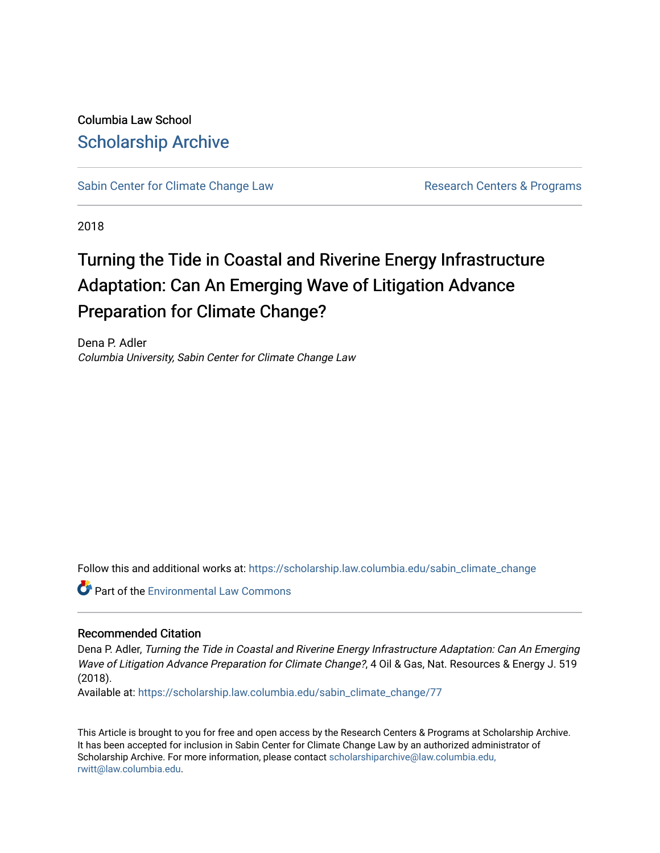Columbia Law School [Scholarship Archive](https://scholarship.law.columbia.edu/) 

[Sabin Center for Climate Change Law](https://scholarship.law.columbia.edu/sabin_climate_change) Research Centers & Programs

2018

# Turning the Tide in Coastal and Riverine Energy Infrastructure Adaptation: Can An Emerging Wave of Litigation Advance Preparation for Climate Change?

Dena P. Adler Columbia University, Sabin Center for Climate Change Law

Follow this and additional works at: [https://scholarship.law.columbia.edu/sabin\\_climate\\_change](https://scholarship.law.columbia.edu/sabin_climate_change?utm_source=scholarship.law.columbia.edu%2Fsabin_climate_change%2F77&utm_medium=PDF&utm_campaign=PDFCoverPages) 

**Part of the [Environmental Law Commons](http://network.bepress.com/hgg/discipline/599?utm_source=scholarship.law.columbia.edu%2Fsabin_climate_change%2F77&utm_medium=PDF&utm_campaign=PDFCoverPages)** 

### Recommended Citation

Dena P. Adler, Turning the Tide in Coastal and Riverine Energy Infrastructure Adaptation: Can An Emerging Wave of Litigation Advance Preparation for Climate Change?, 4 Oil & Gas, Nat. Resources & Energy J. 519 (2018).

Available at: [https://scholarship.law.columbia.edu/sabin\\_climate\\_change/77](https://scholarship.law.columbia.edu/sabin_climate_change/77?utm_source=scholarship.law.columbia.edu%2Fsabin_climate_change%2F77&utm_medium=PDF&utm_campaign=PDFCoverPages)

This Article is brought to you for free and open access by the Research Centers & Programs at Scholarship Archive. It has been accepted for inclusion in Sabin Center for Climate Change Law by an authorized administrator of Scholarship Archive. For more information, please contact [scholarshiparchive@law.columbia.edu,](mailto:scholarshiparchive@law.columbia.edu,%20rwitt@law.columbia.edu) [rwitt@law.columbia.edu.](mailto:scholarshiparchive@law.columbia.edu,%20rwitt@law.columbia.edu)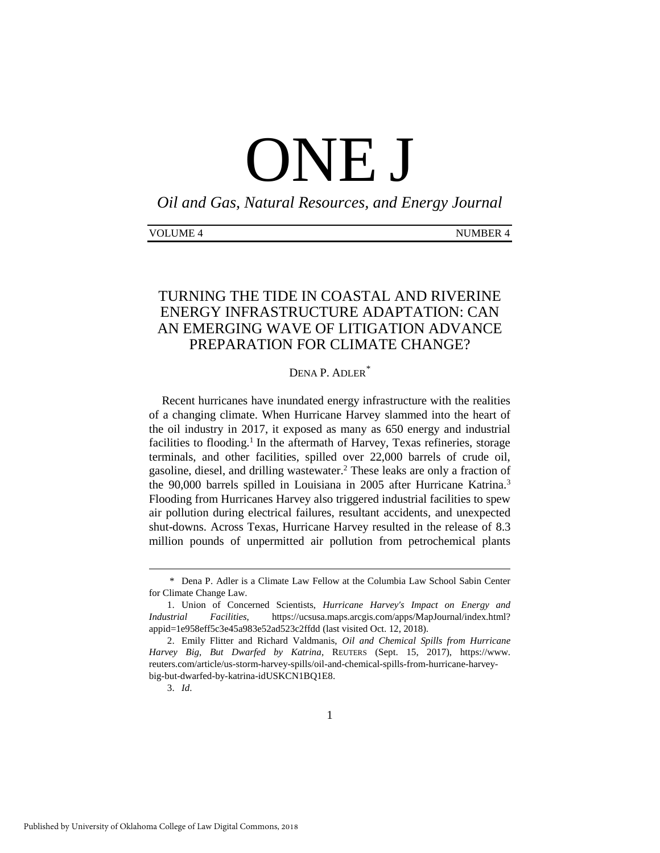# ONE J

*Oil and Gas, Natural Resources, and Energy Journal*

# TURNING THE TIDE IN COASTAL AND RIVERINE ENERGY INFRASTRUCTURE ADAPTATION: CAN AN EMERGING WAVE OF LITIGATION ADVANCE PREPARATION FOR CLIMATE CHANGE?

## DENA P. ADLER*\**

Recent hurricanes have inundated energy infrastructure with the realities of a changing climate. When Hurricane Harvey slammed into the heart of the oil industry in 2017, it exposed as many as 650 energy and industrial facilities to flooding.<sup>1</sup> In the aftermath of Harvey, Texas refineries, storage terminals, and other facilities, spilled over 22,000 barrels of crude oil, gasoline, diesel, and drilling wastewater.<sup>2</sup> These leaks are only a fraction of the 90,000 barrels spilled in Louisiana in 2005 after Hurricane Katrina.<sup>3</sup> Flooding from Hurricanes Harvey also triggered industrial facilities to spew air pollution during electrical failures, resultant accidents, and unexpected shut-downs. Across Texas, Hurricane Harvey resulted in the release of 8.3 million pounds of unpermitted air pollution from petrochemical plants

<sup>\*</sup> Dena P. Adler is a Climate Law Fellow at the Columbia Law School Sabin Center for Climate Change Law.

<sup>1.</sup> Union of Concerned Scientists, *Hurricane Harvey's Impact on Energy and Industrial Facilities*, https://ucsusa.maps.arcgis.com/apps/MapJournal/index.html? appid=1e958eff5c3e45a983e52ad523c2ffdd (last visited Oct. 12, 2018).

<sup>2.</sup> Emily Flitter and Richard Valdmanis, *Oil and Chemical Spills from Hurricane Harvey Big, But Dwarfed by Katrina*, REUTERS (Sept. 15, 2017), https://www. reuters.com/article/us-storm-harvey-spills/oil-and-chemical-spills-from-hurricane-harveybig-but-dwarfed-by-katrina-idUSKCN1BQ1E8.

<sup>3.</sup> *Id*.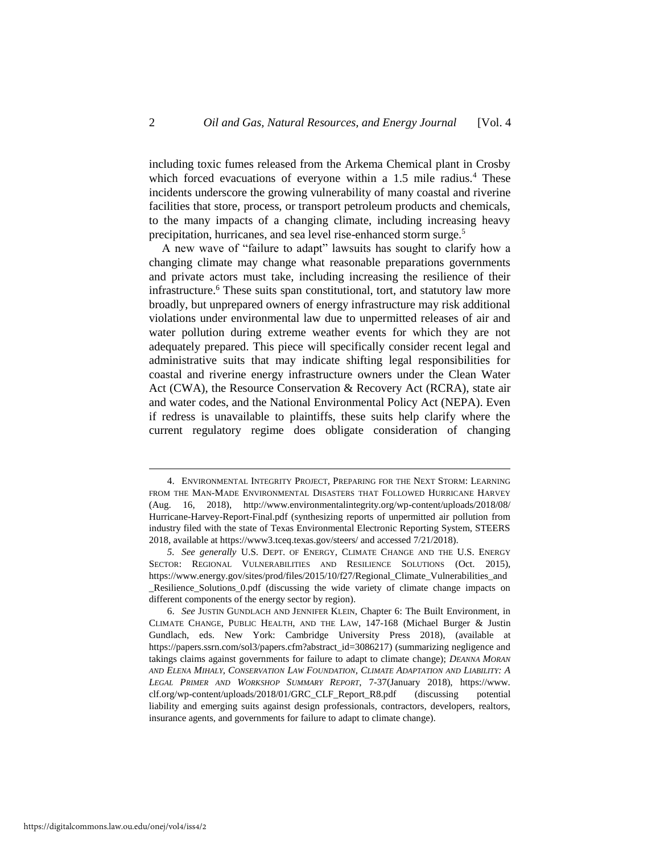including toxic fumes released from the Arkema Chemical plant in Crosby which forced evacuations of everyone within a 1.5 mile radius.<sup>4</sup> These incidents underscore the growing vulnerability of many coastal and riverine facilities that store, process, or transport petroleum products and chemicals, to the many impacts of a changing climate, including increasing heavy precipitation, hurricanes, and sea level rise-enhanced storm surge.<sup>5</sup>

A new wave of "failure to adapt" lawsuits has sought to clarify how a changing climate may change what reasonable preparations governments and private actors must take, including increasing the resilience of their infrastructure.<sup>6</sup> These suits span constitutional, tort, and statutory law more broadly, but unprepared owners of energy infrastructure may risk additional violations under environmental law due to unpermitted releases of air and water pollution during extreme weather events for which they are not adequately prepared. This piece will specifically consider recent legal and administrative suits that may indicate shifting legal responsibilities for coastal and riverine energy infrastructure owners under the Clean Water Act (CWA), the Resource Conservation & Recovery Act (RCRA), state air and water codes, and the National Environmental Policy Act (NEPA). Even if redress is unavailable to plaintiffs, these suits help clarify where the current regulatory regime does obligate consideration of changing

<sup>4.</sup> ENVIRONMENTAL INTEGRITY PROJECT, PREPARING FOR THE NEXT STORM: LEARNING FROM THE MAN-MADE ENVIRONMENTAL DISASTERS THAT FOLLOWED HURRICANE HARVEY (Aug. 16, 2018), http://www.environmentalintegrity.org/wp-content/uploads/2018/08/ Hurricane-Harvey-Report-Final.pdf (synthesizing reports of unpermitted air pollution from industry filed with the state of Texas Environmental Electronic Reporting System, STEERS 2018, available at https://www3.tceq.texas.gov/steers/ and accessed 7/21/2018).

*<sup>5.</sup> See generally* U.S. DEPT. OF ENERGY, CLIMATE CHANGE AND THE U.S. ENERGY SECTOR: REGIONAL VULNERABILITIES AND RESILIENCE SOLUTIONS (Oct. 2015), https://www.energy.gov/sites/prod/files/2015/10/f27/Regional\_Climate\_Vulnerabilities\_and \_Resilience\_Solutions\_0.pdf (discussing the wide variety of climate change impacts on different components of the energy sector by region).

<sup>6.</sup> *See* JUSTIN GUNDLACH AND JENNIFER KLEIN, Chapter 6: The Built Environment, in CLIMATE CHANGE, PUBLIC HEALTH, AND THE LAW, 147-168 (Michael Burger & Justin Gundlach, eds. New York: Cambridge University Press 2018), (available at https://papers.ssrn.com/sol3/papers.cfm?abstract\_id=3086217) (summarizing negligence and takings claims against governments for failure to adapt to climate change); *DEANNA MORAN*  AND ELENA MIHALY, CONSERVATION LAW FOUNDATION, CLIMATE ADAPTATION AND LIABILITY: A *LEGAL PRIMER AND WORKSHOP SUMMARY REPORT*, 7-37(January 2018), https://www. clf.org/wp-content/uploads/2018/01/GRC\_CLF\_Report\_R8.pdf (discussing potential liability and emerging suits against design professionals, contractors, developers, realtors, insurance agents, and governments for failure to adapt to climate change).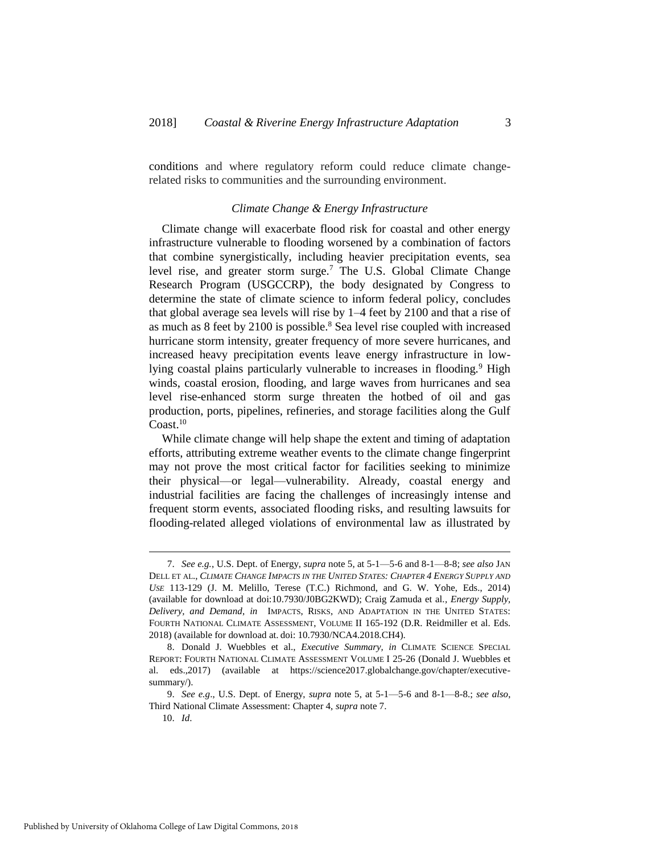conditions and where regulatory reform could reduce climate changerelated risks to communities and the surrounding environment.

#### *Climate Change & Energy Infrastructure*

Climate change will exacerbate flood risk for coastal and other energy infrastructure vulnerable to flooding worsened by a combination of factors that combine synergistically, including heavier precipitation events, sea level rise, and greater storm surge.<sup>7</sup> The U.S. Global Climate Change Research Program (USGCCRP), the body designated by Congress to determine the state of climate science to inform federal policy, concludes that global average sea levels will rise by 1–4 feet by 2100 and that a rise of as much as 8 feet by 2100 is possible.<sup>8</sup> Sea level rise coupled with increased hurricane storm intensity, greater frequency of more severe hurricanes, and increased heavy precipitation events leave energy infrastructure in lowlying coastal plains particularly vulnerable to increases in flooding.<sup>9</sup> High winds, coastal erosion, flooding, and large waves from hurricanes and sea level rise-enhanced storm surge threaten the hotbed of oil and gas production, ports, pipelines, refineries, and storage facilities along the Gulf  $Coast.<sup>10</sup>$ 

While climate change will help shape the extent and timing of adaptation efforts, attributing extreme weather events to the climate change fingerprint may not prove the most critical factor for facilities seeking to minimize their physical—or legal—vulnerability. Already, coastal energy and industrial facilities are facing the challenges of increasingly intense and frequent storm events, associated flooding risks, and resulting lawsuits for flooding-related alleged violations of environmental law as illustrated by

<sup>7.</sup> *See e.g.*, U.S. Dept. of Energy, *supra* note 5, at 5-1—5-6 and 8-1—8-8; *see also* JAN DELL ET AL., *CLIMATE CHANGE IMPACTS IN THE UNITED STATES: CHAPTER 4 ENERGY SUPPLY AND USE* 113-129 (J. M. Melillo, Terese (T.C.) Richmond, and G. W. Yohe, Eds., 2014) (available for download at doi:10.7930/J0BG2KWD); Craig Zamuda et al.*, Energy Supply, Delivery, and Demand*, *in* IMPACTS, RISKS, AND ADAPTATION IN THE UNITED STATES: FOURTH NATIONAL CLIMATE ASSESSMENT, VOLUME II 165-192 (D.R. Reidmiller et al. Eds. 2018) (available for download at. doi: 10.7930/NCA4.2018.CH4).

<sup>8.</sup> Donald J. Wuebbles et al., *Executive Summary, in* CLIMATE SCIENCE SPECIAL REPORT: FOURTH NATIONAL CLIMATE ASSESSMENT VOLUME I 25-26 (Donald J. Wuebbles et al. eds.,2017) (available at https://science2017.globalchange.gov/chapter/executivesummary/).

<sup>9.</sup> *See e.g*., U.S. Dept. of Energy, *supra* note 5, at 5-1—5-6 and 8-1—8-8.; *see also*, Third National Climate Assessment: Chapter 4, *supra* note 7.

<sup>10.</sup> *Id*.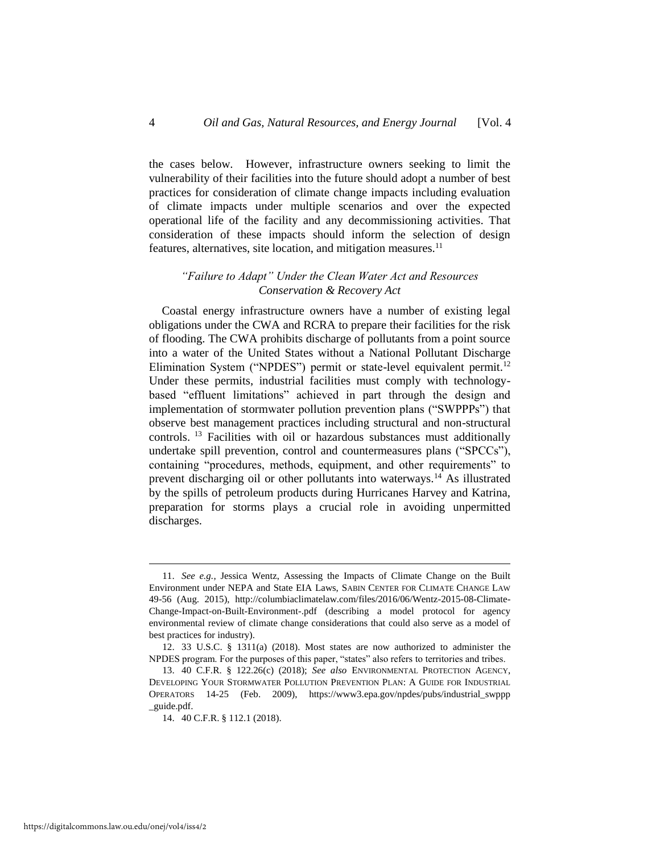the cases below. However, infrastructure owners seeking to limit the vulnerability of their facilities into the future should adopt a number of best practices for consideration of climate change impacts including evaluation of climate impacts under multiple scenarios and over the expected operational life of the facility and any decommissioning activities. That consideration of these impacts should inform the selection of design features, alternatives, site location, and mitigation measures.<sup>11</sup>

#### *"Failure to Adapt" Under the Clean Water Act and Resources Conservation & Recovery Act*

Coastal energy infrastructure owners have a number of existing legal obligations under the CWA and RCRA to prepare their facilities for the risk of flooding. The CWA prohibits discharge of pollutants from a point source into a water of the United States without a National Pollutant Discharge Elimination System ("NPDES") permit or state-level equivalent permit.<sup>12</sup> Under these permits, industrial facilities must comply with technologybased "effluent limitations" achieved in part through the design and implementation of stormwater pollution prevention plans ("SWPPPs") that observe best management practices including structural and non-structural controls. <sup>13</sup> Facilities with oil or hazardous substances must additionally undertake spill prevention, control and countermeasures plans ("SPCCs"), containing "procedures, methods, equipment, and other requirements" to prevent discharging oil or other pollutants into waterways.<sup>14</sup> As illustrated by the spills of petroleum products during Hurricanes Harvey and Katrina, preparation for storms plays a crucial role in avoiding unpermitted discharges.

<sup>11.</sup> *See e.g.*, Jessica Wentz, Assessing the Impacts of Climate Change on the Built Environment under NEPA and State EIA Laws, SABIN CENTER FOR CLIMATE CHANGE LAW 49-56 (Aug. 2015), http://columbiaclimatelaw.com/files/2016/06/Wentz-2015-08-Climate-Change-Impact-on-Built-Environment-.pdf (describing a model protocol for agency environmental review of climate change considerations that could also serve as a model of best practices for industry).

<sup>12.</sup> 33 U.S.C. § 1311(a) (2018). Most states are now authorized to administer the NPDES program. For the purposes of this paper, "states" also refers to territories and tribes.

<sup>13.</sup> 40 C.F.R. § 122.26(c) (2018); *See also* ENVIRONMENTAL PROTECTION AGENCY, DEVELOPING YOUR STORMWATER POLLUTION PREVENTION PLAN: A GUIDE FOR INDUSTRIAL OPERATORS 14-25 (Feb. 2009), https://www3.epa.gov/npdes/pubs/industrial\_swppp \_guide.pdf.

<sup>14.</sup> 40 C.F.R. § 112.1 (2018).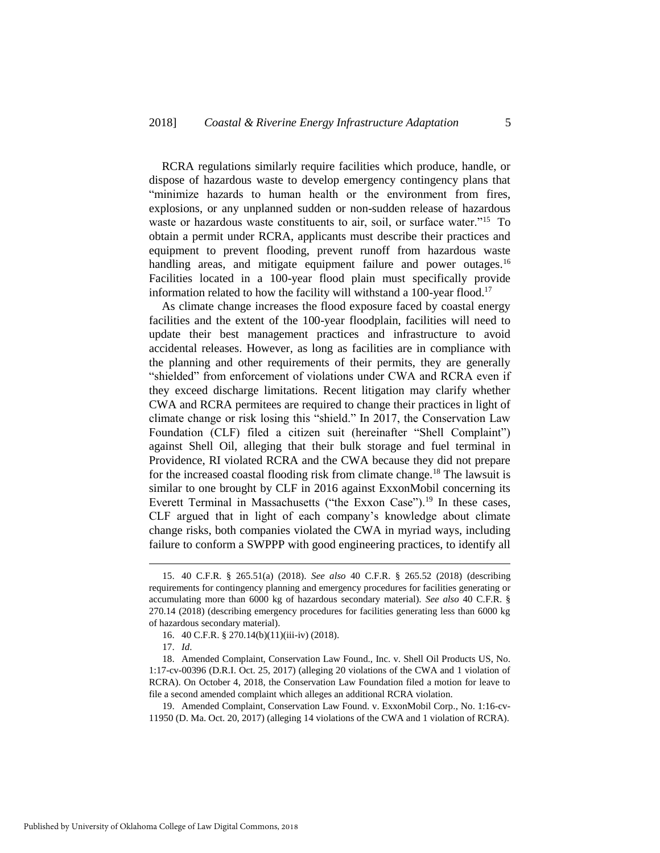RCRA regulations similarly require facilities which produce, handle, or dispose of hazardous waste to develop emergency contingency plans that "minimize hazards to human health or the environment from fires, explosions, or any unplanned sudden or non-sudden release of hazardous waste or hazardous waste constituents to air, soil, or surface water."<sup>15</sup> To obtain a permit under RCRA, applicants must describe their practices and equipment to prevent flooding, prevent runoff from hazardous waste handling areas, and mitigate equipment failure and power outages.<sup>16</sup> Facilities located in a 100-year flood plain must specifically provide information related to how the facility will withstand a 100-year flood.<sup>17</sup>

As climate change increases the flood exposure faced by coastal energy facilities and the extent of the 100-year floodplain, facilities will need to update their best management practices and infrastructure to avoid accidental releases. However, as long as facilities are in compliance with the planning and other requirements of their permits, they are generally "shielded" from enforcement of violations under CWA and RCRA even if they exceed discharge limitations. Recent litigation may clarify whether CWA and RCRA permitees are required to change their practices in light of climate change or risk losing this "shield." In 2017, the Conservation Law Foundation (CLF) filed a citizen suit (hereinafter "Shell Complaint") against Shell Oil, alleging that their bulk storage and fuel terminal in Providence, RI violated RCRA and the CWA because they did not prepare for the increased coastal flooding risk from climate change.<sup>18</sup> The lawsuit is similar to one brought by CLF in 2016 against ExxonMobil concerning its Everett Terminal in Massachusetts ("the Exxon Case").<sup>19</sup> In these cases, CLF argued that in light of each company's knowledge about climate change risks, both companies violated the CWA in myriad ways, including failure to conform a SWPPP with good engineering practices, to identify all

<sup>15.</sup> 40 C.F.R. § 265.51(a) (2018). *See also* 40 C.F.R. § 265.52 (2018) (describing requirements for contingency planning and emergency procedures for facilities generating or accumulating more than 6000 kg of hazardous secondary material). *See also* 40 C.F.R. § 270.14 (2018) (describing emergency procedures for facilities generating less than 6000 kg of hazardous secondary material).

<sup>16.</sup> 40 C.F.R. § 270.14(b)(11)(iii-iv) (2018).

<sup>17.</sup> *Id*.

<sup>18.</sup> Amended Complaint, Conservation Law Found., Inc. v. Shell Oil Products US, No. 1:17-cv-00396 (D.R.I. Oct. 25, 2017) (alleging 20 violations of the CWA and 1 violation of RCRA). On October 4, 2018, the Conservation Law Foundation filed a motion for leave to file a second amended complaint which alleges an additional RCRA violation.

<sup>19.</sup> Amended Complaint, Conservation Law Found. v. ExxonMobil Corp., No. 1:16-cv-11950 (D. Ma. Oct. 20, 2017) (alleging 14 violations of the CWA and 1 violation of RCRA).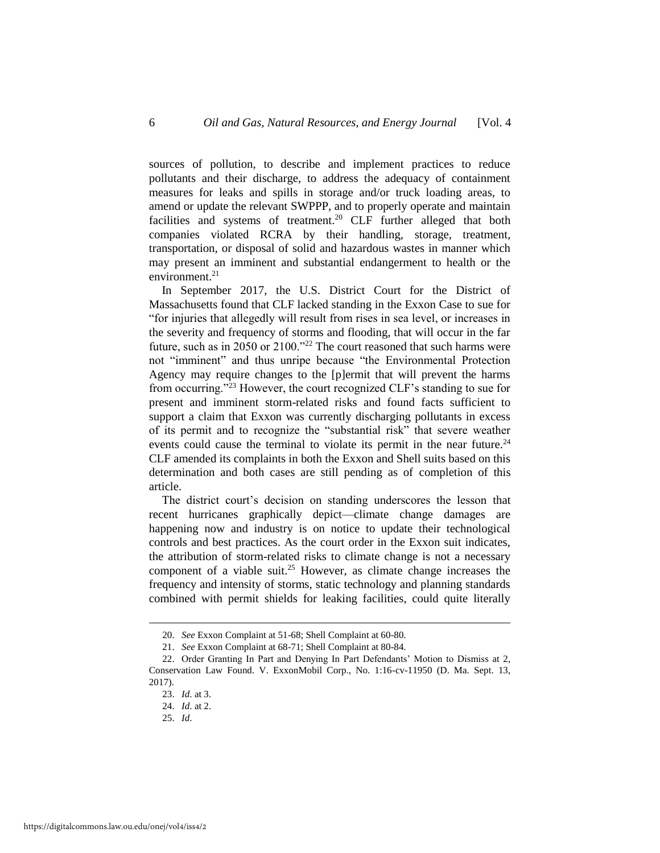sources of pollution, to describe and implement practices to reduce pollutants and their discharge, to address the adequacy of containment measures for leaks and spills in storage and/or truck loading areas, to amend or update the relevant SWPPP, and to properly operate and maintain facilities and systems of treatment.<sup>20</sup> CLF further alleged that both companies violated RCRA by their handling, storage, treatment, transportation, or disposal of solid and hazardous wastes in manner which may present an imminent and substantial endangerment to health or the environment. $21$ 

In September 2017, the U.S. District Court for the District of Massachusetts found that CLF lacked standing in the Exxon Case to sue for "for injuries that allegedly will result from rises in sea level, or increases in the severity and frequency of storms and flooding, that will occur in the far future, such as in 2050 or 2100."<sup>22</sup> The court reasoned that such harms were not "imminent" and thus unripe because "the Environmental Protection Agency may require changes to the [p]ermit that will prevent the harms from occurring."<sup>23</sup> However, the court recognized CLF's standing to sue for present and imminent storm-related risks and found facts sufficient to support a claim that Exxon was currently discharging pollutants in excess of its permit and to recognize the "substantial risk" that severe weather events could cause the terminal to violate its permit in the near future.<sup>24</sup> CLF amended its complaints in both the Exxon and Shell suits based on this determination and both cases are still pending as of completion of this article.

The district court's decision on standing underscores the lesson that recent hurricanes graphically depict—climate change damages are happening now and industry is on notice to update their technological controls and best practices. As the court order in the Exxon suit indicates, the attribution of storm-related risks to climate change is not a necessary component of a viable suit.<sup>25</sup> However, as climate change increases the frequency and intensity of storms, static technology and planning standards combined with permit shields for leaking facilities, could quite literally

<sup>20.</sup> *See* Exxon Complaint at 51-68; Shell Complaint at 60-80.

<sup>21.</sup> *See* Exxon Complaint at 68-71; Shell Complaint at 80-84.

<sup>22.</sup> Order Granting In Part and Denying In Part Defendants' Motion to Dismiss at 2, Conservation Law Found. V. ExxonMobil Corp., No. 1:16-cv-11950 (D. Ma. Sept. 13, 2017).

<sup>23.</sup> *Id*. at 3.

<sup>24.</sup> *Id*. at 2.

<sup>25.</sup> *Id*.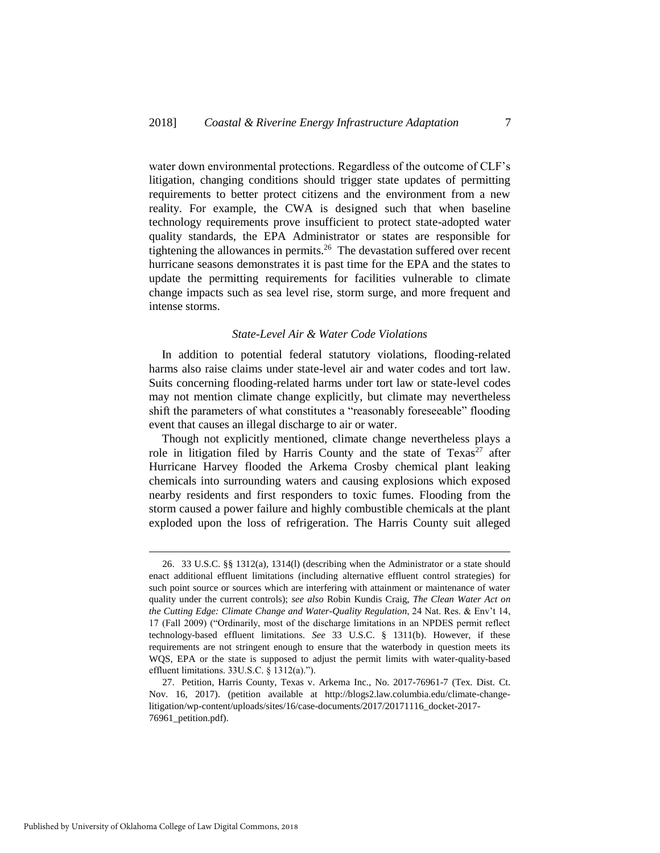water down environmental protections. Regardless of the outcome of CLF's litigation, changing conditions should trigger state updates of permitting requirements to better protect citizens and the environment from a new reality. For example, the CWA is designed such that when baseline technology requirements prove insufficient to protect state-adopted water quality standards, the EPA Administrator or states are responsible for tightening the allowances in permits.<sup>26</sup> The devastation suffered over recent hurricane seasons demonstrates it is past time for the EPA and the states to update the permitting requirements for facilities vulnerable to climate change impacts such as sea level rise, storm surge, and more frequent and intense storms.

#### *State-Level Air & Water Code Violations*

In addition to potential federal statutory violations, flooding-related harms also raise claims under state-level air and water codes and tort law. Suits concerning flooding-related harms under tort law or state-level codes may not mention climate change explicitly, but climate may nevertheless shift the parameters of what constitutes a "reasonably foreseeable" flooding event that causes an illegal discharge to air or water.

Though not explicitly mentioned, climate change nevertheless plays a role in litigation filed by Harris County and the state of  $Texas^{27}$  after Hurricane Harvey flooded the Arkema Crosby chemical plant leaking chemicals into surrounding waters and causing explosions which exposed nearby residents and first responders to toxic fumes. Flooding from the storm caused a power failure and highly combustible chemicals at the plant exploded upon the loss of refrigeration. The Harris County suit alleged

<sup>26.</sup> 33 U.S.C. §§ 1312(a), 1314(l) (describing when the Administrator or a state should enact additional effluent limitations (including alternative effluent control strategies) for such point source or sources which are interfering with attainment or maintenance of water quality under the current controls); *see also* Robin Kundis Craig, *The Clean Water Act on the Cutting Edge: Climate Change and Water-Quality Regulation*, 24 Nat. Res. & Env't 14, 17 (Fall 2009) ("Ordinarily, most of the discharge limitations in an NPDES permit reflect technology-based effluent limitations. *See* 33 U.S.C. § 1311(b). However, if these requirements are not stringent enough to ensure that the waterbody in question meets its WQS, EPA or the state is supposed to adjust the permit limits with water-quality-based effluent limitations. 33U.S.C. § 1312(a).").

<sup>27.</sup> Petition, Harris County, Texas v. Arkema Inc., No. 2017-76961-7 (Tex. Dist. Ct. Nov. 16, 2017). (petition available at http://blogs2.law.columbia.edu/climate-changelitigation/wp-content/uploads/sites/16/case-documents/2017/20171116\_docket-2017- 76961\_petition.pdf).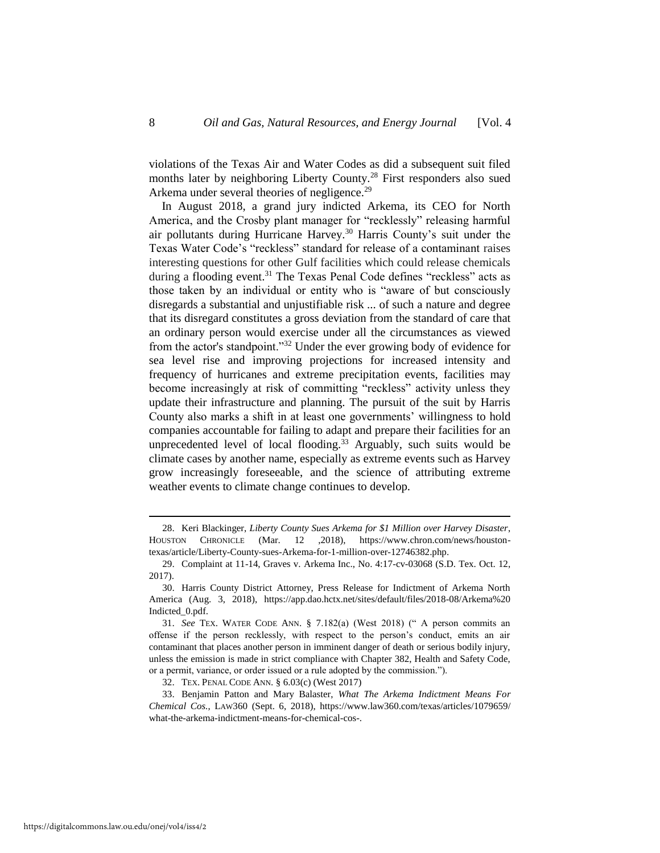violations of the Texas Air and Water Codes as did a subsequent suit filed months later by neighboring Liberty County.<sup>28</sup> First responders also sued Arkema under several theories of negligence.<sup>29</sup>

In August 2018, a grand jury indicted Arkema, its CEO for North America, and the Crosby plant manager for "recklessly" releasing harmful air pollutants during Hurricane Harvey.<sup>30</sup> Harris County's suit under the Texas Water Code's "reckless" standard for release of a contaminant raises interesting questions for other Gulf facilities which could release chemicals during a flooding event.<sup>31</sup> The Texas Penal Code defines "reckless" acts as those taken by an individual or entity who is "aware of but consciously disregards a substantial and unjustifiable risk ... of such a nature and degree that its disregard constitutes a gross deviation from the standard of care that an ordinary person would exercise under all the circumstances as viewed from the actor's standpoint."<sup>32</sup> Under the ever growing body of evidence for sea level rise and improving projections for increased intensity and frequency of hurricanes and extreme precipitation events, facilities may become increasingly at risk of committing "reckless" activity unless they update their infrastructure and planning. The pursuit of the suit by Harris County also marks a shift in at least one governments' willingness to hold companies accountable for failing to adapt and prepare their facilities for an unprecedented level of local flooding.<sup>33</sup> Arguably, such suits would be climate cases by another name, especially as extreme events such as Harvey grow increasingly foreseeable, and the science of attributing extreme weather events to climate change continues to develop.

32. TEX. PENAL CODE ANN. § 6.03(c) (West 2017)

33. Benjamin Patton and Mary Balaster, *What The Arkema Indictment Means For Chemical Cos.*, LAW360 (Sept. 6, 2018), https://www.law360.com/texas/articles/1079659/ what-the-arkema-indictment-means-for-chemical-cos-.

<sup>28.</sup> Keri Blackinger, *Liberty County Sues Arkema for \$1 Million over Harvey Disaster*, HOUSTON CHRONICLE (Mar. 12 ,2018), https://www.chron.com/news/houstontexas/article/Liberty-County-sues-Arkema-for-1-million-over-12746382.php.

<sup>29.</sup> Complaint at 11-14, Graves v. Arkema Inc., No. 4:17-cv-03068 (S.D. Tex. Oct. 12, 2017).

<sup>30.</sup> Harris County District Attorney, Press Release for Indictment of Arkema North America (Aug. 3, 2018), https://app.dao.hctx.net/sites/default/files/2018-08/Arkema%20 Indicted\_0.pdf.

<sup>31.</sup> *See* TEX. WATER CODE ANN. § 7.182(a) (West 2018) (" A person commits an offense if the person recklessly, with respect to the person's conduct, emits an air contaminant that places another person in imminent danger of death or serious bodily injury, unless the emission is made in strict compliance with Chapter 382, Health and Safety Code, or a permit, variance, or order issued or a rule adopted by the commission.").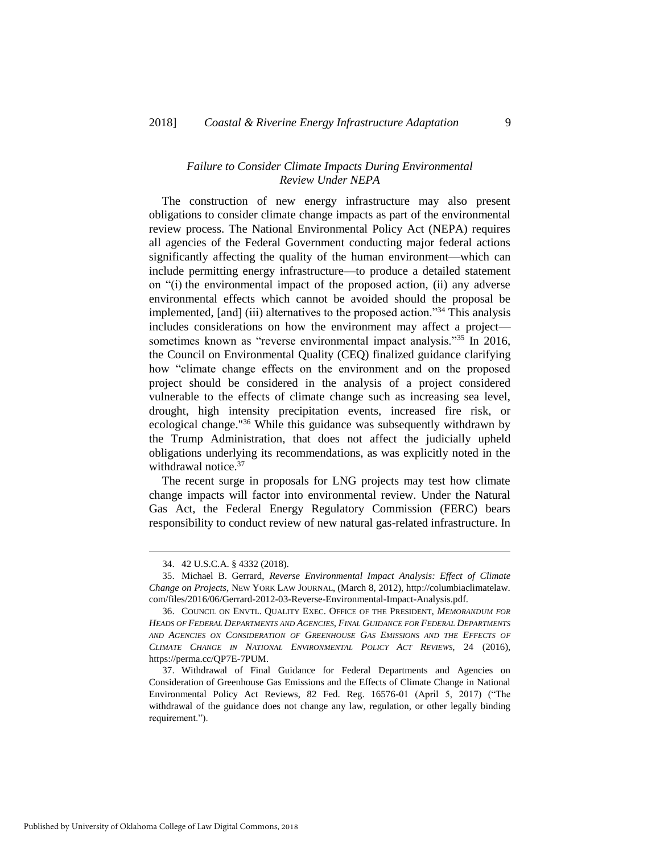#### *Failure to Consider Climate Impacts During Environmental Review Under NEPA*

The construction of new energy infrastructure may also present obligations to consider climate change impacts as part of the environmental review process. The National Environmental Policy Act (NEPA) requires all agencies of the Federal Government conducting major federal actions significantly affecting the quality of the human environment—which can include permitting energy infrastructure—to produce a detailed statement on "(i) the environmental impact of the proposed action, (ii) any adverse environmental effects which cannot be avoided should the proposal be implemented, [and] (iii) alternatives to the proposed action."<sup>34</sup> This analysis includes considerations on how the environment may affect a project sometimes known as "reverse environmental impact analysis."<sup>35</sup> In 2016, the Council on Environmental Quality (CEQ) finalized guidance clarifying how "climate change effects on the environment and on the proposed project should be considered in the analysis of a project considered vulnerable to the effects of climate change such as increasing sea level, drought, high intensity precipitation events, increased fire risk, or ecological change."<sup>36</sup> While this guidance was subsequently withdrawn by the Trump Administration, that does not affect the judicially upheld obligations underlying its recommendations, as was explicitly noted in the withdrawal notice. $37$ 

The recent surge in proposals for LNG projects may test how climate change impacts will factor into environmental review. Under the Natural Gas Act, the Federal Energy Regulatory Commission (FERC) bears responsibility to conduct review of new natural gas-related infrastructure. In

<sup>34.</sup> 42 U.S.C.A. § 4332 (2018).

<sup>35.</sup> Michael B. Gerrard, *Reverse Environmental Impact Analysis: Effect of Climate Change on Projects*, NEW YORK LAW JOURNAL, (March 8, 2012), http://columbiaclimatelaw. com/files/2016/06/Gerrard-2012-03-Reverse-Environmental-Impact-Analysis.pdf.

<sup>36.</sup> COUNCIL ON ENVTL. QUALITY EXEC. OFFICE OF THE PRESIDENT, *MEMORANDUM FOR HEADS OF FEDERAL DEPARTMENTS AND AGENCIES, FINAL GUIDANCE FOR FEDERAL DEPARTMENTS AND AGENCIES ON CONSIDERATION OF GREENHOUSE GAS EMISSIONS AND THE EFFECTS OF CLIMATE CHANGE IN NATIONAL ENVIRONMENTAL POLICY ACT REVIEWS*, 24 (2016), https://perma.cc/QP7E-7PUM.

<sup>37.</sup> Withdrawal of Final Guidance for Federal Departments and Agencies on Consideration of Greenhouse Gas Emissions and the Effects of Climate Change in National Environmental Policy Act Reviews, 82 Fed. Reg. 16576-01 (April 5, 2017) ("The withdrawal of the guidance does not change any law, regulation, or other legally binding requirement.").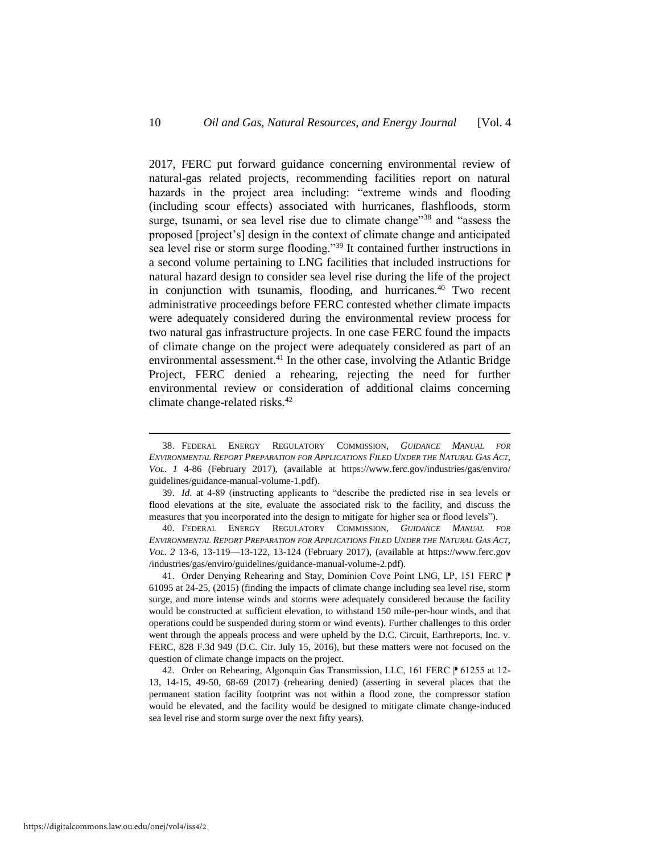2017, FERC put forward guidance concerning environmental review of natural-gas related projects, recommending facilities report on natural hazards in the project area including: "extreme winds and flooding (including scour effects) associated with hurricanes, flashfloods, storm surge, tsunami, or sea level rise due to climate change<sup>"38</sup> and "assess the proposed [project's] design in the context of climate change and anticipated sea level rise or storm surge flooding."<sup>39</sup> It contained further instructions in a second volume pertaining to LNG facilities that included instructions for natural hazard design to consider sea level rise during the life of the project in conjunction with tsunamis, flooding, and hurricanes.<sup>40</sup> Two recent administrative proceedings before FERC contested whether climate impacts were adequately considered during the environmental review process for two natural gas infrastructure projects. In one case FERC found the impacts of climate change on the project were adequately considered as part of an environmental assessment.<sup>41</sup> In the other case, involving the Atlantic Bridge Project, FERC denied a rehearing, rejecting the need for further environmental review or consideration of additional claims concerning climate change-related risks.<sup>42</sup>

40. FEDERAL ENERGY REGULATORY COMMISSION, *GUIDANCE MANUAL FOR ENVIRONMENTAL REPORT PREPARATION FOR APPLICATIONS FILED UNDER THE NATURAL GAS ACT, VOL. 2* 13-6, 13-119—13-122, 13-124 (February 2017), [\(available](file:///C:/Users/Collin/Documents/documents/Law%20School/ONE-J/Symposium%20Issue/AE%20Edits/(available) at https://www.ferc.gov /industries/gas/enviro/guidelines/guidance-manual-volume-2.pdf).

41. Order Denying Rehearing and Stay, Dominion Cove Point LNG, LP, 151 FERC  $\mathbb P$ 61095 at 24-25, (2015) (finding the impacts of climate change including sea level rise, storm surge, and more intense winds and storms were adequately considered because the facility would be constructed at sufficient elevation, to withstand 150 mile-per-hour winds, and that operations could be suspended during storm or wind events). Further challenges to this order went through the appeals process and were upheld by the D.C. Circuit, Earthreports, Inc. v. FERC, 828 F.3d 949 (D.C. Cir. July 15, 2016), but these matters were not focused on the question of climate change impacts on the project.

42. Order on Rehearing, Algonquin Gas Transmission, LLC, 161 FERC  $\uparrow$  61255 at 12-13, 14-15, 49-50, 68-69 (2017) (rehearing denied) (asserting in several places that the permanent station facility footprint was not within a flood zone, the compressor station would be elevated, and the facility would be designed to mitigate climate change-induced sea level rise and storm surge over the next fifty years).

<sup>38.</sup> FEDERAL ENERGY REGULATORY COMMISSION, *GUIDANCE MANUAL FOR ENVIRONMENTAL REPORT PREPARATION FOR APPLICATIONS FILED UNDER THE NATURAL GAS ACT, VOL. 1* 4-86 (February 2017), (available at https://www.ferc.gov/industries/gas/enviro/ guidelines/guidance-manual-volume-1.pdf).

<sup>39.</sup> *Id*. at 4-89 (instructing applicants to "describe the predicted rise in sea levels or flood elevations at the site, evaluate the associated risk to the facility, and discuss the measures that you incorporated into the design to mitigate for higher sea or flood levels").